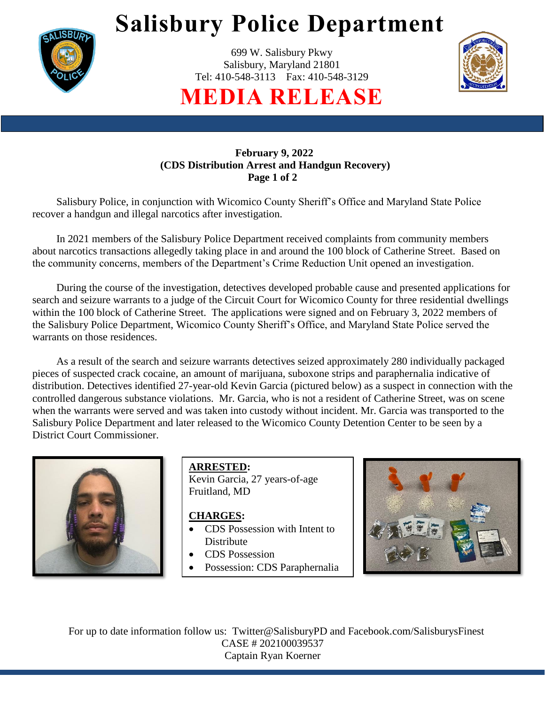

# **Salisbury Police Department**

699 W. Salisbury Pkwy Salisbury, Maryland 21801 Tel: 410-548-3113 Fax: 410-548-3129



**MEDIA RELEASE**

### **February 9, 2022 (CDS Distribution Arrest and Handgun Recovery) Page 1 of 2**

Salisbury Police, in conjunction with Wicomico County Sheriff's Office and Maryland State Police recover a handgun and illegal narcotics after investigation.

In 2021 members of the Salisbury Police Department received complaints from community members about narcotics transactions allegedly taking place in and around the 100 block of Catherine Street. Based on the community concerns, members of the Department's Crime Reduction Unit opened an investigation.

During the course of the investigation, detectives developed probable cause and presented applications for search and seizure warrants to a judge of the Circuit Court for Wicomico County for three residential dwellings within the 100 block of Catherine Street. The applications were signed and on February 3, 2022 members of the Salisbury Police Department, Wicomico County Sheriff's Office, and Maryland State Police served the warrants on those residences.

 As a result of the search and seizure warrants detectives seized approximately 280 individually packaged pieces of suspected crack cocaine, an amount of marijuana, suboxone strips and paraphernalia indicative of distribution. Detectives identified 27-year-old Kevin Garcia (pictured below) as a suspect in connection with the controlled dangerous substance violations. Mr. Garcia, who is not a resident of Catherine Street, was on scene when the warrants were served and was taken into custody without incident. Mr. Garcia was transported to the Salisbury Police Department and later released to the Wicomico County Detention Center to be seen by a District Court Commissioner.



**ARRESTED:** Kevin Garcia, 27 years-of-age Fruitland, MD

### **CHARGES:**

- CDS Possession with Intent to **Distribute**
- CDS Possession
- Possession: CDS Paraphernalia



For up to date information follow us: Twitter@SalisburyPD and Facebook.com/SalisburysFinest CASE # 202100039537 Captain Ryan Koerner